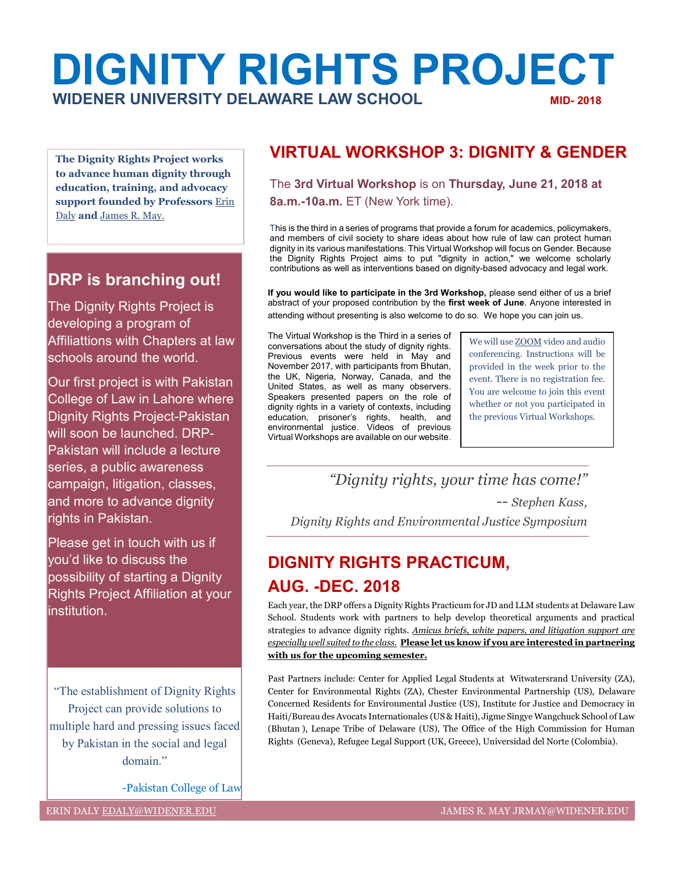# **DIGNITY RIGHTS PROJECT WIDENER UNIVERSITY DELAWARE LAW SCHOOL MID- 2018**

**The Dignity Rights Project works to advance human dignity through education, training, and advocacy support founded by Professors** [Erin](mailto:edaly@widener.edu)  [Daly](mailto:edaly@widener.edu) **and** [James R.](mailto:jrmay@widener.edu) May.

#### **DRP is branching out!**

The Dignity Rights Project is developing a program of Affiliattions with Chapters at law schools around the world.

Our first project is with Pakistan College of Law in Lahore where Dignity Rights Project-Pakistan will soon be launched. DRP-Pakistan will include a lecture series, a public awareness campaign, litigation, classes, and more to advance dignity rights in Pakistan.

Please get in touch with us if you'd like to discuss the possibility of starting a Dignity Rights Project Affiliation at your institution.

"The establishment of Dignity Rights Project can provide solutions to multiple hard and pressing issues faced by Pakistan in the social and legal domain."

-Pakistan College of Law

#### **VIRTUAL WORKSHOP 3: DIGNITY & GENDER**

The **3rd Virtual Workshop** is on **Thursday, June 21, 2018 at 8a.m.-10a.m.** ET (New York time).

This is the third in a series of programs that provide a forum for academics, policymakers, and members of civil society to share ideas about how rule of law can protect human dignity in its various manifestations. This Virtual Workshop will focus on Gender. Because the Dignity Rights Project aims to put "dignity in action," we welcome scholarly contributions as well as interventions based on dignity-based advocacy and legal work.

**If you would like to participate in the 3rd Workshop,** please send either of us a brief abstract of your proposed contribution by the **first week of June**. Anyone interested in attending without presenting is also welcome to do so. We hope you can join us.

The Virtual Workshop is the Third in a series of conversations about the study of dignity rights. Previous events were held in May and November 2017, with participants from Bhutan, the UK, Nigeria, Norway, Canada, and the United States, as well as many observers. Speakers presented papers on the role of dignity rights in a variety of contexts, including education, prisoner's rights, health, and environmental justice. Videos of previous Virtual Workshops are available on our website.

We will us[e ZOOM](https://zoom.us/) video and audio conferencing. Instructions will be provided in the week prior to the event. There is no registration fee. You are welcome to join this event whether or not you participated in the previous Virtual Workshops.

*"Dignity rights, your time has come!" -- Stephen Kass, Dignity Rights and Environmental Justice Symposium*

### **DIGNITY RIGHTS PRACTICUM, AUG. -DEC. 2018**

Each year, the DRP offers a Dignity Rights Practicum for JD and LLM students at Delaware Law School. Students work with partners to help develop theoretical arguments and practical strategies to advance dignity rights. *Amicus briefs, white papers, and litigation support are especially well suited to the class.* **Please let us know if you are interested in partnering with us for the upcoming semester.**

Past Partners include: Center for Applied Legal Students at Witwatersrand University (ZA), Center for Environmental Rights (ZA), Chester Environmental Partnership (US), Delaware Concerned Residents for Environmental Justice (US), Institute for Justice and Democracy in Haiti/Bureau des Avocats Internationales (US & Haiti), Jigme Singye Wangchuck School of Law (Bhutan ), Lenape Tribe of Delaware (US), The Office of the High Commission for Human Rights (Geneva), Refugee Legal Support (UK, Greece), Universidad del Norte (Colombia).